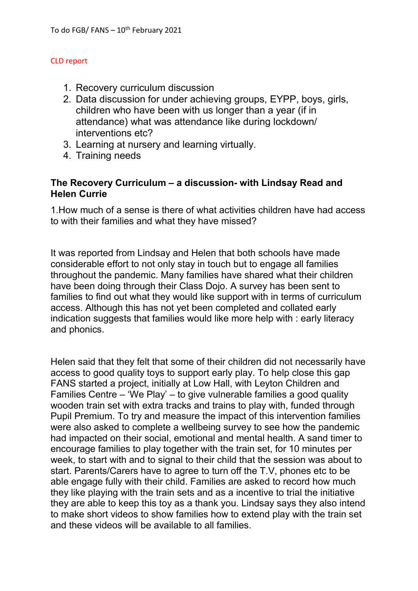#### CLD report

- 1. Recovery curriculum discussion
- 2. Data discussion for under achieving groups, EYPP, boys, girls, children who have been with us longer than a year (if in attendance) what was attendance like during lockdown/ interventions etc?
- 3. Learning at nursery and learning virtually.
- 4. Training needs

## **The Recovery Curriculum – a discussion- with Lindsay Read and Helen Currie**

1.How much of a sense is there of what activities children have had access to with their families and what they have missed?

It was reported from Lindsay and Helen that both schools have made considerable effort to not only stay in touch but to engage all families throughout the pandemic. Many families have shared what their children have been doing through their Class Dojo. A survey has been sent to families to find out what they would like support with in terms of curriculum access. Although this has not yet been completed and collated early indication suggests that families would like more help with : early literacy and phonics.

Helen said that they felt that some of their children did not necessarily have access to good quality toys to support early play. To help close this gap FANS started a project, initially at Low Hall, with Leyton Children and Families Centre – 'We Play' – to give vulnerable families a good quality wooden train set with extra tracks and trains to play with, funded through Pupil Premium. To try and measure the impact of this intervention families were also asked to complete a wellbeing survey to see how the pandemic had impacted on their social, emotional and mental health. A sand timer to encourage families to play together with the train set, for 10 minutes per week, to start with and to signal to their child that the session was about to start. Parents/Carers have to agree to turn off the T.V, phones etc to be able engage fully with their child. Families are asked to record how much they like playing with the train sets and as a incentive to trial the initiative they are able to keep this toy as a thank you. Lindsay says they also intend to make short videos to show families how to extend play with the train set and these videos will be available to all families.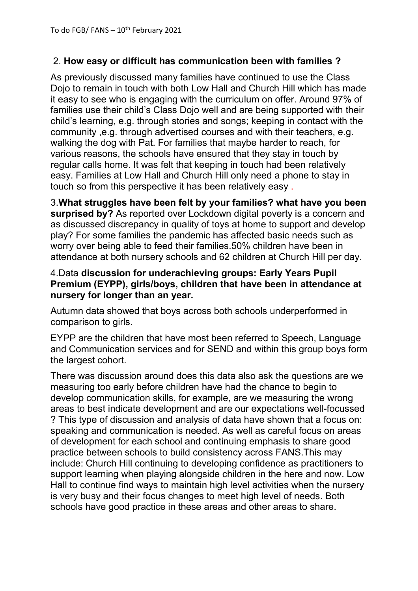# 2. **How easy or difficult has communication been with families ?**

As previously discussed many families have continued to use the Class Dojo to remain in touch with both Low Hall and Church Hill which has made it easy to see who is engaging with the curriculum on offer. Around 97% of families use their child's Class Dojo well and are being supported with their child's learning, e.g. through stories and songs; keeping in contact with the community ,e.g. through advertised courses and with their teachers, e.g. walking the dog with Pat. For families that maybe harder to reach, for various reasons, the schools have ensured that they stay in touch by regular calls home. It was felt that keeping in touch had been relatively easy. Families at Low Hall and Church Hill only need a phone to stay in touch so from this perspective it has been relatively easy .

3.**What struggles have been felt by your families? what have you been surprised by?** As reported over Lockdown digital poverty is a concern and as discussed discrepancy in quality of toys at home to support and develop play? For some families the pandemic has affected basic needs such as worry over being able to feed their families.50% children have been in attendance at both nursery schools and 62 children at Church Hill per day.

## 4.Data **discussion for underachieving groups: Early Years Pupil Premium (EYPP), girls/boys, children that have been in attendance at nursery for longer than an year.**

Autumn data showed that boys across both schools underperformed in comparison to girls.

EYPP are the children that have most been referred to Speech, Language and Communication services and for SEND and within this group boys form the largest cohort.

There was discussion around does this data also ask the questions are we measuring too early before children have had the chance to begin to develop communication skills, for example, are we measuring the wrong areas to best indicate development and are our expectations well-focussed ? This type of discussion and analysis of data have shown that a focus on: speaking and communication is needed. As well as careful focus on areas of development for each school and continuing emphasis to share good practice between schools to build consistency across FANS.This may include: Church Hill continuing to developing confidence as practitioners to support learning when playing alongside children in the here and now. Low Hall to continue find ways to maintain high level activities when the nursery is very busy and their focus changes to meet high level of needs. Both schools have good practice in these areas and other areas to share.